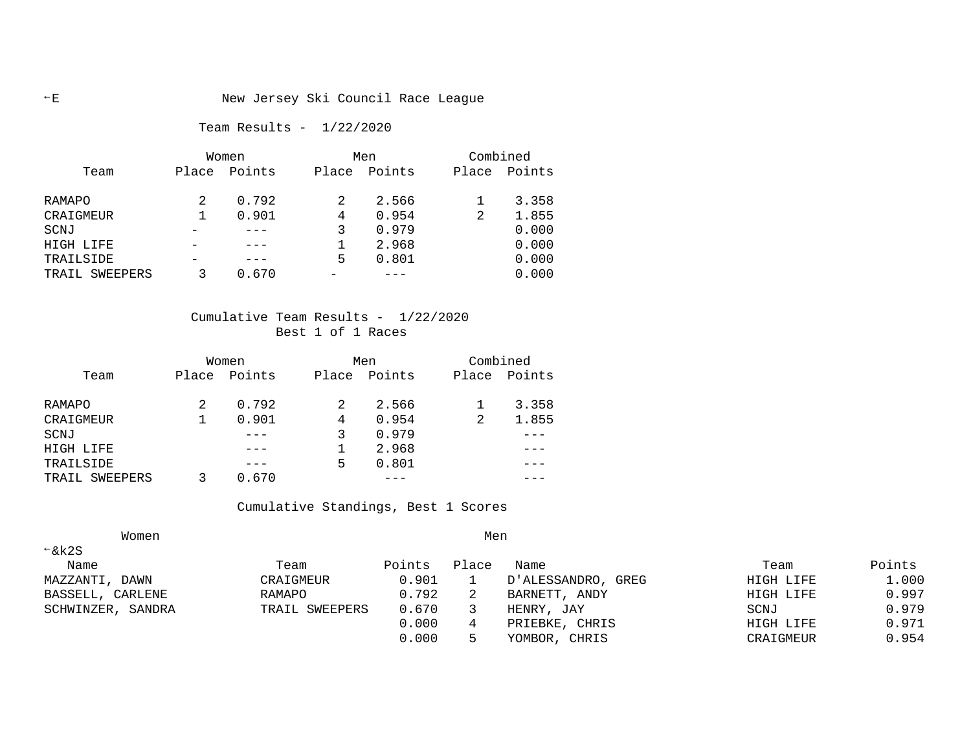### E New Jersey Ski Council Race League

Team Results - 1/22/2020

|                   | Women |        |       | Men    | Combined |        |  |
|-------------------|-------|--------|-------|--------|----------|--------|--|
| Team              | Place | Points | Place | Points | Place    | Points |  |
| RAMAPO            |       | 0.792  |       | 2.566  |          | 3.358  |  |
| CRAIGMEUR         |       | 0.901  | 4     | 0.954  | 2        | 1.855  |  |
| SCNJ              |       |        |       | 0.979  |          | 0.000  |  |
| HIGH LIFE         |       |        |       | 2.968  |          | 0.000  |  |
| TRAILSIDE         |       |        | 5     | 0.801  |          | 0.000  |  |
| SWEEPERS<br>TRAIL |       | 0.670  |       |        |          | 0.000  |  |

## Cumulative Team Results - 1/22/2020 Best 1 of 1 Races

|                | Women |        |       | Men    |   | Combined     |  |  |
|----------------|-------|--------|-------|--------|---|--------------|--|--|
| Team           | Place | Points | Place | Points |   | Place Points |  |  |
| RAMAPO         | 2     | 0.792  |       | 2.566  |   | 3.358        |  |  |
| CRAIGMEUR      |       | 0.901  | 4     | 0.954  | 2 | 1.855        |  |  |
| SCNJ           |       |        |       | 0.979  |   |              |  |  |
| HIGH LIFE      |       |        |       | 2.968  |   |              |  |  |
| TRAILSIDE      |       |        | 5     | 0.801  |   |              |  |  |
| TRAIL SWEEPERS |       | 0.670  |       |        |   |              |  |  |

#### Cumulative Standings, Best 1 Scores

| Women               | Men            |        |       |                    |           |        |  |
|---------------------|----------------|--------|-------|--------------------|-----------|--------|--|
| $\xi$ k2S           |                |        |       |                    |           |        |  |
| Name                | Team           | Points | Place | Name               | Team      | Points |  |
| DAWN<br>MAZZANTI,   | CRAIGMEUR      | 0.901  |       | D'ALESSANDRO, GREG | HIGH LIFE | 1,000  |  |
| BASSELL,<br>CARLENE | RAMAPO         | 0.792  | 2     | BARNETT, ANDY      | HIGH LIFE | 0.997  |  |
| SCHWINZER, SANDRA   | TRAIL SWEEPERS | 0.670  |       | HENRY, JAY         | SCNJ      | 0.979  |  |
|                     |                | 0.000  | 4     | PRIEBKE, CHRIS     | HIGH LIFE | 0.971  |  |
|                     |                | 0.000  |       | CHRIS<br>YOMBOR,   | CRAIGMEUR | 0.954  |  |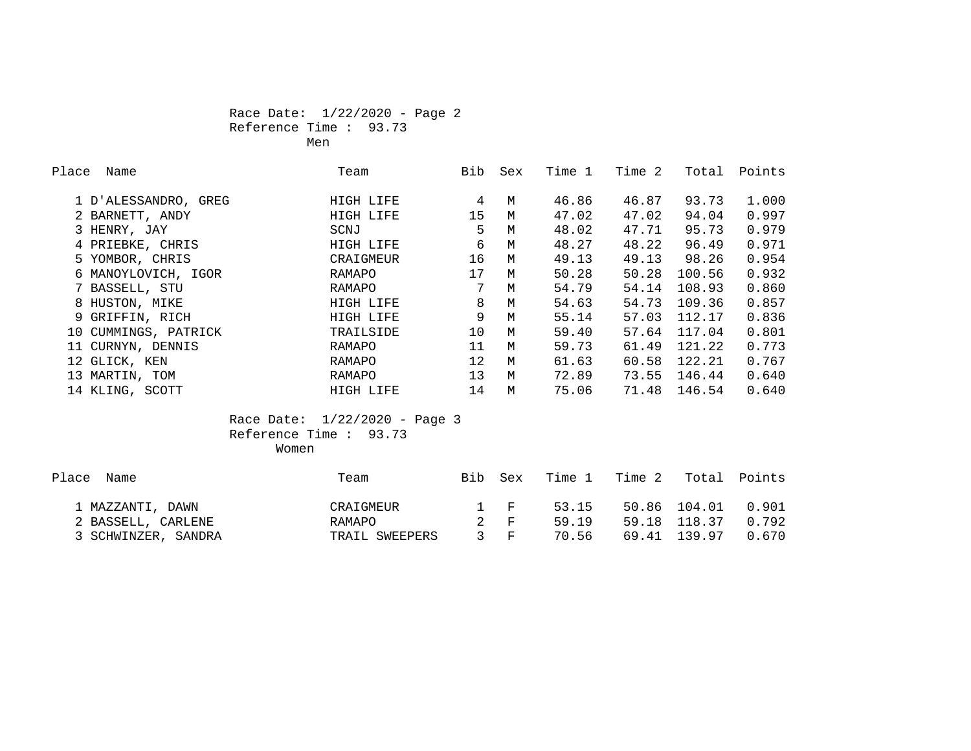#### Race Date: 1/22/2020 - Page 2 Reference Time : 93.73 Men

| Place | Name                 | Team      | Bib             | Sex | Time 1 | Time 2 | Total  | Points |
|-------|----------------------|-----------|-----------------|-----|--------|--------|--------|--------|
|       | 1 D'ALESSANDRO, GREG | HIGH LIFE | 4               | M   | 46.86  | 46.87  | 93.73  | 1,000  |
|       | 2 BARNETT, ANDY      | HIGH LIFE | 15              | M   | 47.02  | 47.02  | 94.04  | 0.997  |
|       | 3 HENRY, JAY         | SCNJ      | 5               | M   | 48.02  | 47.71  | 95.73  | 0.979  |
|       | 4 PRIEBKE, CHRIS     | HIGH LIFE | 6               | M   | 48.27  | 48.22  | 96.49  | 0.971  |
|       | 5 YOMBOR, CHRIS      | CRAIGMEUR | 16              | M   | 49.13  | 49.13  | 98.26  | 0.954  |
|       | 6 MANOYLOVICH, IGOR  | RAMAPO    | 17              | M   | 50.28  | 50.28  | 100.56 | 0.932  |
|       | 7 BASSELL, STU       | RAMAPO    | 7               | M   | 54.79  | 54.14  | 108.93 | 0.860  |
|       | 8 HUSTON, MIKE       | HIGH LIFE | 8               | M   | 54.63  | 54.73  | 109.36 | 0.857  |
|       | 9 GRIFFIN, RICH      | HIGH LIFE | 9               | M   | 55.14  | 57.03  | 112.17 | 0.836  |
|       | 10 CUMMINGS, PATRICK | TRAILSIDE | 10              | M   | 59.40  | 57.64  | 117.04 | 0.801  |
|       | 11 CURNYN, DENNIS    | RAMAPO    | 11              | M   | 59.73  | 61.49  | 121.22 | 0.773  |
|       | 12 GLICK, KEN        | RAMAPO    | 12              | M   | 61.63  | 60.58  | 122.21 | 0.767  |
|       | 13 MARTIN, TOM       | RAMAPO    | 13 <sup>°</sup> | M   | 72.89  | 73.55  | 146.44 | 0.640  |
|       | 14 KLING, SCOTT      | HIGH LIFE | 14              | М   | 75.06  | 71.48  | 146.54 | 0.640  |

 Race Date: 1/22/2020 - Page 3 Reference Time : 93.73 Women

| Place Name          | Team           | Bib Sex |                 | Time 1 | Time 2 |              | Total Points |
|---------------------|----------------|---------|-----------------|--------|--------|--------------|--------------|
| 1 MAZZANTI, DAWN    | CRAIGMEUR      |         | 1 F             | 53.15  |        | 50.86 104.01 | 0.901        |
| 2 BASSELL, CARLENE  | RAMAPO         |         | 2 F             | 59 19  |        | 59.18 118.37 | 0.792        |
| 3 SCHWINZER, SANDRA | TRAIL SWEEPERS |         | $\mathcal{S}$ F | 70.56  |        | 69.41 139.97 | 0.670        |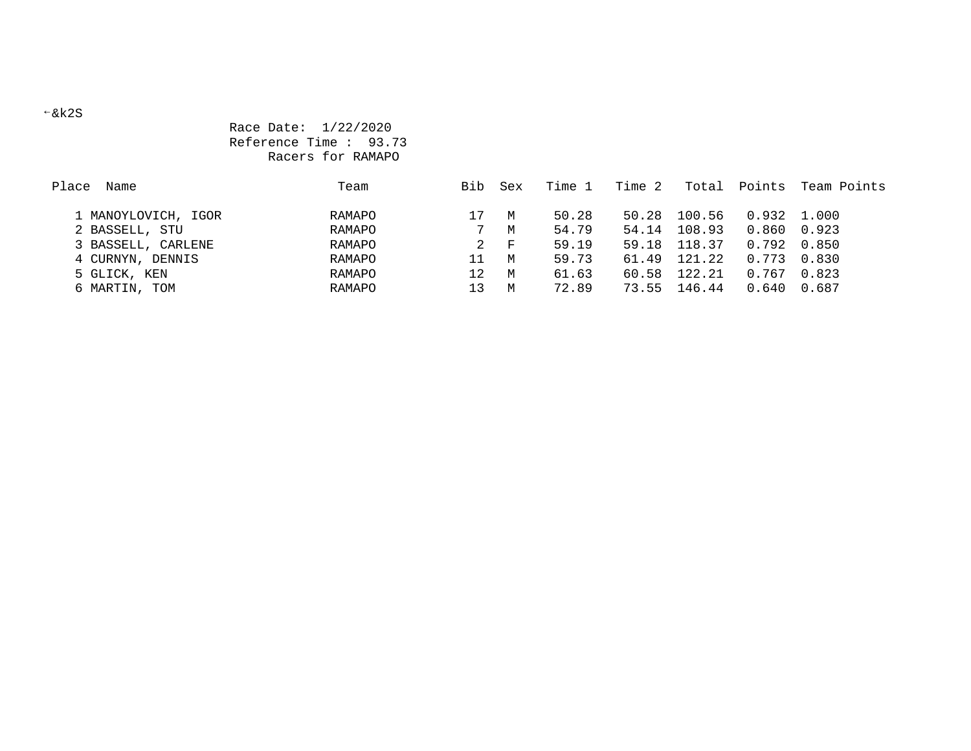## Race Date: 1/22/2020 Reference Time : 93.73 Racers for RAMAPO

| Place<br>Name       | Team   | Bib | Sex          | Time 1 | Time 2 | Total  | Points              | Team Points |
|---------------------|--------|-----|--------------|--------|--------|--------|---------------------|-------------|
|                     |        |     |              |        |        |        |                     |             |
| 1 MANOYLOVICH, IGOR | RAMAPO | 17  | M            | 50.28  | 50.28  | 100.56 | $0.932$ 1.000       |             |
| 2 BASSELL, STU      | RAMAPO |     | M            | 54.79  | 54.14  | 108.93 | 0.860 0.923         |             |
| 3 BASSELL, CARLENE  | RAMAPO | 2   | $\mathbf{F}$ | 59.19  | 59.18  | 118.37 | $0.792 \quad 0.850$ |             |
| 4 CURNYN, DENNIS    | RAMAPO | 11  | M            | 59.73  | 61.49  | 121.22 | 0.773               | 0.830       |
| 5 GLICK, KEN        | RAMAPO | 12  | M            | 61.63  | 60.58  | 122.21 | 0.767               | 0.823       |
| 6 MARTIN, TOM       | RAMAPO | 13  | M            | 72.89  | 73.55  | 146.44 | 0.640               | 0.687       |

#### &k2S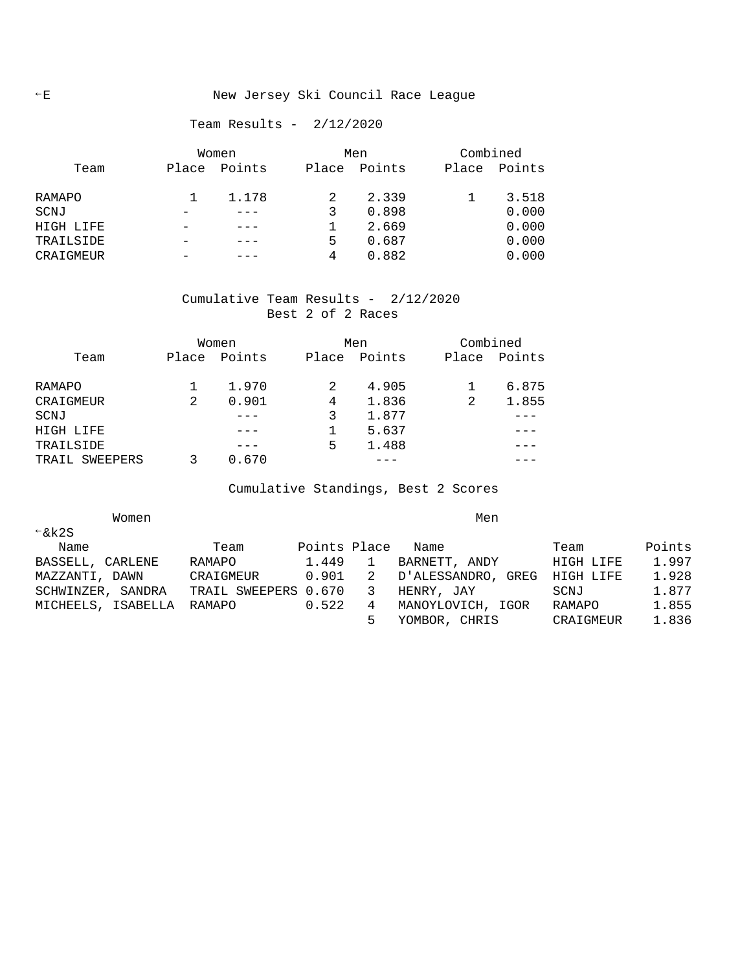## E New Jersey Ski Council Race League

## Team Results - 2/12/2020

|           | Women |        | Men   |        | Combined |        |  |
|-----------|-------|--------|-------|--------|----------|--------|--|
| Team      | Place | Points | Place | Points | Place    | Points |  |
| RAMAPO    |       | 1.178  |       | 2.339  |          | 3.518  |  |
| SCNJ      |       |        |       | 0.898  |          | 0.000  |  |
| HIGH LIFE |       |        |       | 2.669  |          | 0.000  |  |
| TRAILSIDE |       |        | 5     | 0.687  |          | 0.000  |  |
| CRAIGMEUR |       |        | 4     | 0.882  |          | 0.000  |  |

#### Cumulative Team Results - 2/12/2020 Best 2 of 2 Races

|                | Women |        |       | Men    |       | Combined |  |  |
|----------------|-------|--------|-------|--------|-------|----------|--|--|
| Team           | Place | Points | Place | Points | Place | Points   |  |  |
| RAMAPO         |       | 1.970  | 2     | 4.905  |       | 6.875    |  |  |
| CRAIGMEUR      | 2     | 0.901  | 4     | 1.836  | 2     | 1.855    |  |  |
| SCNJ           |       |        | 3     | 1.877  |       |          |  |  |
| HIGH LIFE      |       |        |       | 5.637  |       |          |  |  |
| TRAILSIDE      |       |        | 5     | 1.488  |       |          |  |  |
| TRAIL SWEEPERS |       | 0.670  |       |        |       |          |  |  |

Cumulative Standings, Best 2 Scores

| Women              |                      |              |   | Men                |           |        |
|--------------------|----------------------|--------------|---|--------------------|-----------|--------|
| $\xi$ & k2S        |                      |              |   |                    |           |        |
| Name               | Team                 | Points Place |   | Name               | Team      | Points |
| BASSELL, CARLENE   | RAMAPO               | 1.449        |   | BARNETT, ANDY      | HIGH LIFE | 1.997  |
| MAZZANTI, DAWN     | CRAIGMEUR            | 0.901        | 2 | D'ALESSANDRO, GREG | HIGH LIFE | 1.928  |
| SCHWINZER, SANDRA  | TRAIL SWEEPERS 0.670 |              | 3 | HENRY, JAY         | SCNJ      | 1.877  |
| MICHEELS, ISABELLA | RAMAPO               | 0.522        | 4 | MANOYLOVICH, IGOR  | RAMAPO    | 1.855  |
|                    |                      |              |   | YOMBOR, CHRIS      | CRAIGMEUR | 1.836  |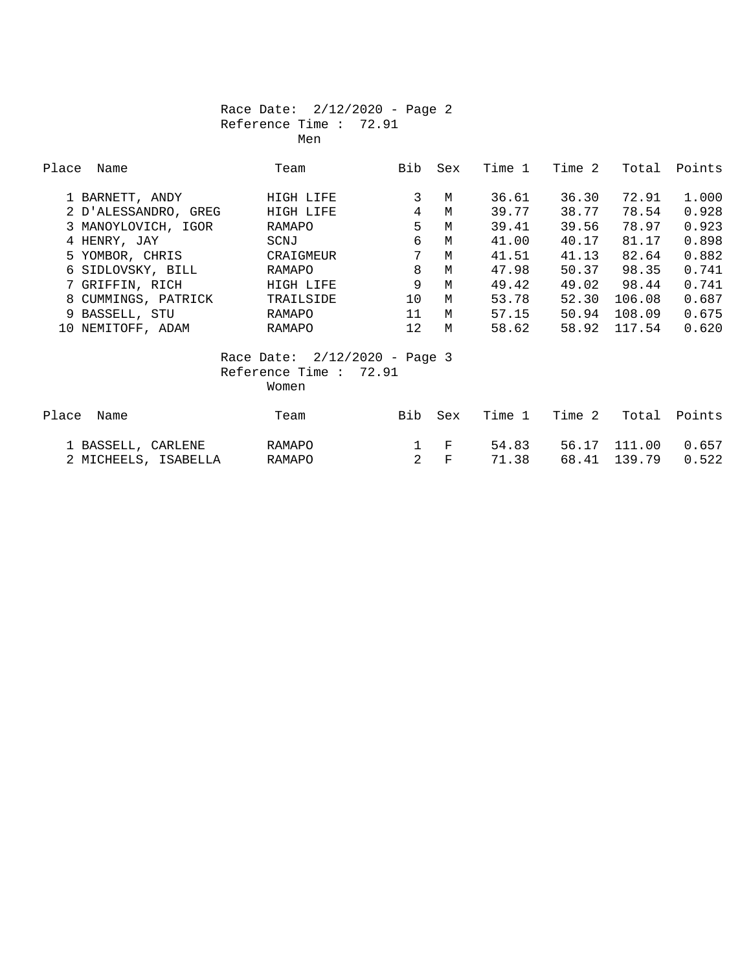## Race Date: 2/12/2020 - Page 2 Reference Time : 72.91 Men

| Place<br>Name        | Team                            | Bib            | Sex         | Time 1 | Time 2 |             | Total Points |
|----------------------|---------------------------------|----------------|-------------|--------|--------|-------------|--------------|
| 1 BARNETT, ANDY      | HIGH LIFE                       | 3              | M           | 36.61  | 36.30  | 72.91       | 1.000        |
| 2 D'ALESSANDRO, GREG | HIGH LIFE                       | $\overline{4}$ | M           | 39.77  | 38.77  | 78.54       | 0.928        |
| 3 MANOYLOVICH, IGOR  | RAMAPO                          | 5              | M           | 39.41  | 39.56  | 78.97       | 0.923        |
| 4 HENRY, JAY         | SCNJ                            | 6              | M           | 41.00  | 40.17  | 81.17       | 0.898        |
| 5 YOMBOR, CHRIS      | CRAIGMEUR                       | 7              | M           | 41.51  | 41.13  | 82.64       | 0.882        |
| 6 SIDLOVSKY, BILL    | RAMAPO                          | 8              | M           | 47.98  | 50.37  | 98.35       | 0.741        |
| 7 GRIFFIN, RICH      | HIGH LIFE                       | 9              | M           | 49.42  |        | 49.02 98.44 | 0.741        |
| 8 CUMMINGS, PATRICK  | TRAILSIDE                       | 10             | M           | 53.78  | 52.30  | 106.08      | 0.687        |
| 9 BASSELL, STU       | RAMAPO                          | 11             | M           | 57.15  | 50.94  | 108.09      | 0.675        |
| 10 NEMITOFF, ADAM    | RAMAPO                          | 12             | M           | 58.62  | 58.92  | 117.54      | 0.620        |
|                      | Race Date: $2/12/2020 - Page 3$ |                |             |        |        |             |              |
|                      | Reference Time : $72.91$        |                |             |        |        |             |              |
|                      | Women                           |                |             |        |        |             |              |
| Place<br>Name        | Team                            | Bib            | Sex         | Time 1 | Time 2 | Total       | Points       |
| 1 BASSELL, CARLENE   | RAMAPO                          | $\mathbf{1}$   | $_{\rm F}$  | 54.83  | 56.17  | 111.00      | 0.657        |
| 2 MICHEELS, ISABELLA | RAMAPO                          | $\overline{2}$ | $\mathbf F$ | 71.38  | 68.41  | 139.79      | 0.522        |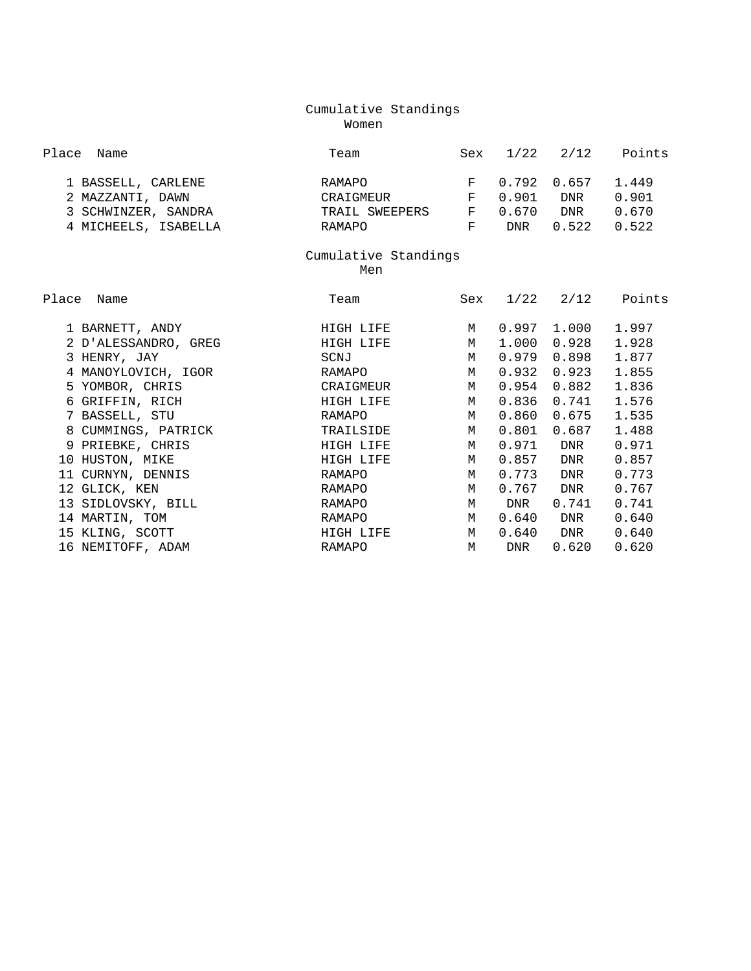## Cumulative Standings Women

| Place Name           | Team           | Sex   |            | $1/22$ $2/12$ | Points |
|----------------------|----------------|-------|------------|---------------|--------|
| 1 BASSELL, CARLENE   | RAMAPO         |       |            | F 0.792 0.657 | 1.449  |
| 2 MAZZANTI, DAWN     | CRAIGMEUR      |       | 0.901      | <b>DNR</b>    | 0.901  |
| 3 SCHWINZER, SANDRA  | TRAIL SWEEPERS | $F$ . | 0.670      | <b>DNR</b>    | 0.670  |
| 4 MICHEELS, ISABELLA | RAMAPO         |       | <b>DNR</b> | 0.522         | 0.522  |

# Cumulative Standings

**Men** 

| Place<br>Name        | Team      | Sex | 1/22       | 2/12       | Points |
|----------------------|-----------|-----|------------|------------|--------|
| 1 BARNETT, ANDY      | HIGH LIFE | M   | 0.997      | 1.000      | 1.997  |
| 2 D'ALESSANDRO, GREG | HIGH LIFE | M   | 1.000      | 0.928      | 1.928  |
| 3 HENRY, JAY         | SCNJ      | M   | 0.979      | 0.898      | 1.877  |
| 4 MANOYLOVICH, IGOR  | RAMAPO    | M   | 0.932      | 0.923      | 1.855  |
| 5 YOMBOR, CHRIS      | CRAIGMEUR | M   | 0.954      | 0.882      | 1.836  |
| 6 GRIFFIN, RICH      | HIGH LIFE | M   | 0.836      | 0.741      | 1.576  |
| 7 BASSELL, STU       | RAMAPO    | M   | 0.860      | 0.675      | 1.535  |
| 8 CUMMINGS, PATRICK  | TRAILSIDE | M   | 0.801      | 0.687      | 1.488  |
| 9 PRIEBKE, CHRIS     | HIGH LIFE | M   | 0.971      | DNR        | 0.971  |
| 10 HUSTON, MIKE      | HIGH LIFE | M   | 0.857      | DNR        | 0.857  |
| 11 CURNYN, DENNIS    | RAMAPO    | M   | 0.773      | <b>DNR</b> | 0.773  |
| 12 GLICK, KEN        | RAMAPO    | M   | 0.767      | DNR        | 0.767  |
| 13 SIDLOVSKY, BILL   | RAMAPO    | M   | DNR        | 0.741      | 0.741  |
| 14 MARTIN, TOM       | RAMAPO    | M   | 0.640      | DNR        | 0.640  |
| 15 KLING, SCOTT      | HIGH LIFE | M   | 0.640      | DNR        | 0.640  |
| 16 NEMITOFF, ADAM    | RAMAPO    | M   | <b>DNR</b> | 0.620      | 0.620  |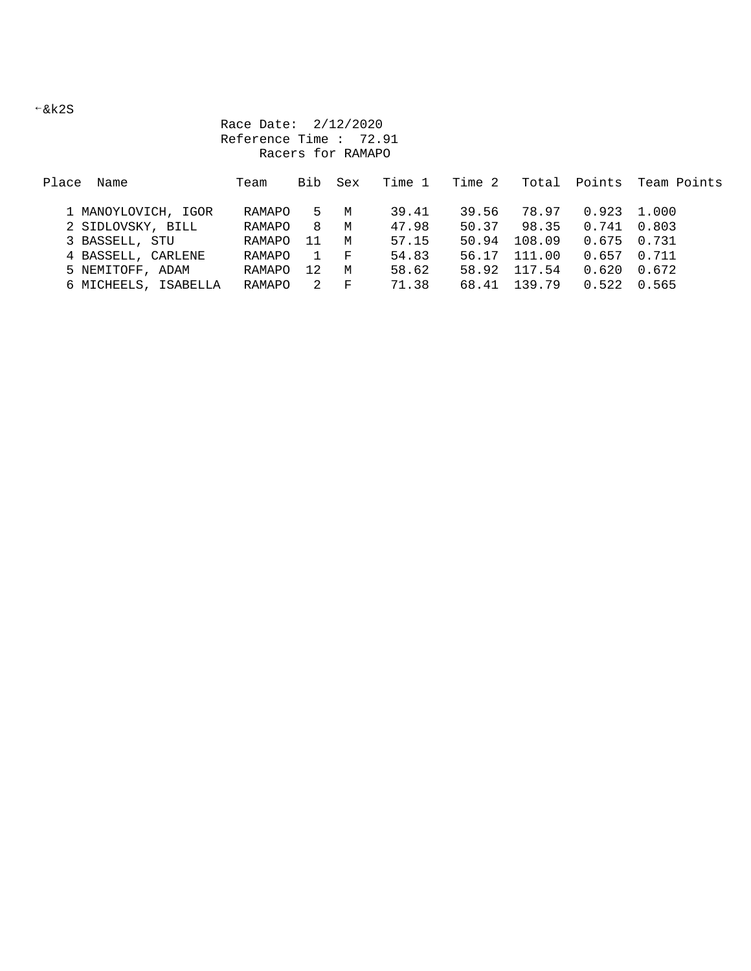$-kk2S$ 

 Race Date: 2/12/2020 Reference Time : 72.91 Racers for RAMAPO

| Place<br>Name        | Team   | Bib | Sex | Time 1 | Time 2 |        |               | Total Points Team Points |
|----------------------|--------|-----|-----|--------|--------|--------|---------------|--------------------------|
| 1 MANOYLOVICH, IGOR  | RAMAPO | 5.  | M   | 39.41  | 39.56  | 78.97  | $0.923$ 1.000 |                          |
| 2 SIDLOVSKY, BILL    | RAMAPO | 8   | M   | 47.98  | 50.37  | 98.35  | 0.741         | 0.803                    |
| 3 BASSELL, STU       | RAMAPO | 11  | M   | 57.15  | 50.94  | 108.09 | 0.675         | 0.731                    |
| 4 BASSELL, CARLENE   | RAMAPO |     | F   | 54.83  | 56.17  | 111.00 | 0.657         | 0.711                    |
| 5 NEMITOFF, ADAM     | RAMAPO | 12  | M   | 58.62  | 58.92  | 117.54 | 0.620         | 0.672                    |
| 6 MICHEELS, ISABELLA | RAMAPO | 2   | F   | 71.38  | 68.41  | 139 79 | 0.522         | 0.565                    |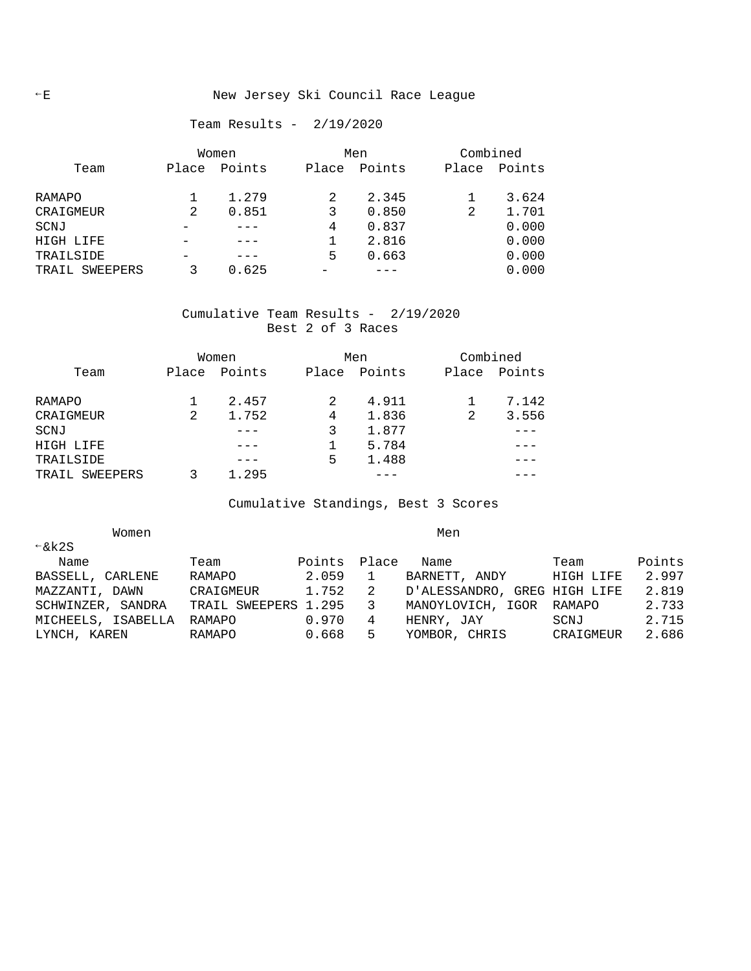#### Team Results - 2/19/2020

|                | Women |        | Men   |        |  | Combined |        |  |
|----------------|-------|--------|-------|--------|--|----------|--------|--|
| Team           | Place | Points | Place | Points |  | Place    | Points |  |
| RAMAPO         |       | 1.279  |       | 2.345  |  |          | 3.624  |  |
| CRAIGMEUR      | 2     | 0.851  | 3     | 0.850  |  | 2        | 1.701  |  |
| SCNJ           |       |        | 4     | 0.837  |  |          | 0.000  |  |
| HIGH LIFE      |       |        |       | 2.816  |  |          | 0.000  |  |
| TRAILSIDE      |       |        | 5     | 0.663  |  |          | 0.000  |  |
| TRAIL SWEEPERS |       | 0.625  |       |        |  |          | 0.000  |  |

## Cumulative Team Results - 2/19/2020 Best 2 of 3 Races

|                   | Women |        |       | Men    | Combined |        |
|-------------------|-------|--------|-------|--------|----------|--------|
| Team              | Place | Points | Place | Points | Place    | Points |
|                   |       |        |       |        |          |        |
| RAMAPO            |       | 2.457  | 2     | 4.911  |          | 7.142  |
| CRAIGMEUR         | 2     | 1.752  | 4     | 1.836  | 2        | 3.556  |
| SCNJ              |       |        | 3     | 1.877  |          |        |
| HIGH LIFE         |       |        |       | 5.784  |          |        |
| TRAILSIDE         |       |        | 5     | 1.488  |          |        |
| SWEEPERS<br>TRAIL |       | 1.295  |       |        |          |        |

Cumulative Standings, Best 3 Scores

| Women              |                      |              |    | Men                          |           |        |
|--------------------|----------------------|--------------|----|------------------------------|-----------|--------|
| $\xi$ k2S          |                      |              |    |                              |           |        |
| Name               | Team                 | Points Place |    | Name                         | Team      | Points |
| BASSELL, CARLENE   | RAMAPO               | 2.059        |    | BARNETT, ANDY                | HIGH LIFE | 2.997  |
| MAZZANTI, DAWN     | CRAIGMEUR            | 1.752        | -2 | D'ALESSANDRO, GREG HIGH LIFE |           | 2.819  |
| SCHWINZER, SANDRA  | TRAIL SWEEPERS 1.295 |              | -3 | MANOYLOVICH, IGOR RAMAPO     |           | 2.733  |
| MICHEELS, ISABELLA | RAMAPO               | 0.970        | 4  | HENRY, JAY                   | SCNJ      | 2.715  |
| LYNCH, KAREN       | RAMAPO               | 0.668        | -5 | YOMBOR, CHRIS                | CRAIGMEUR | 2.686  |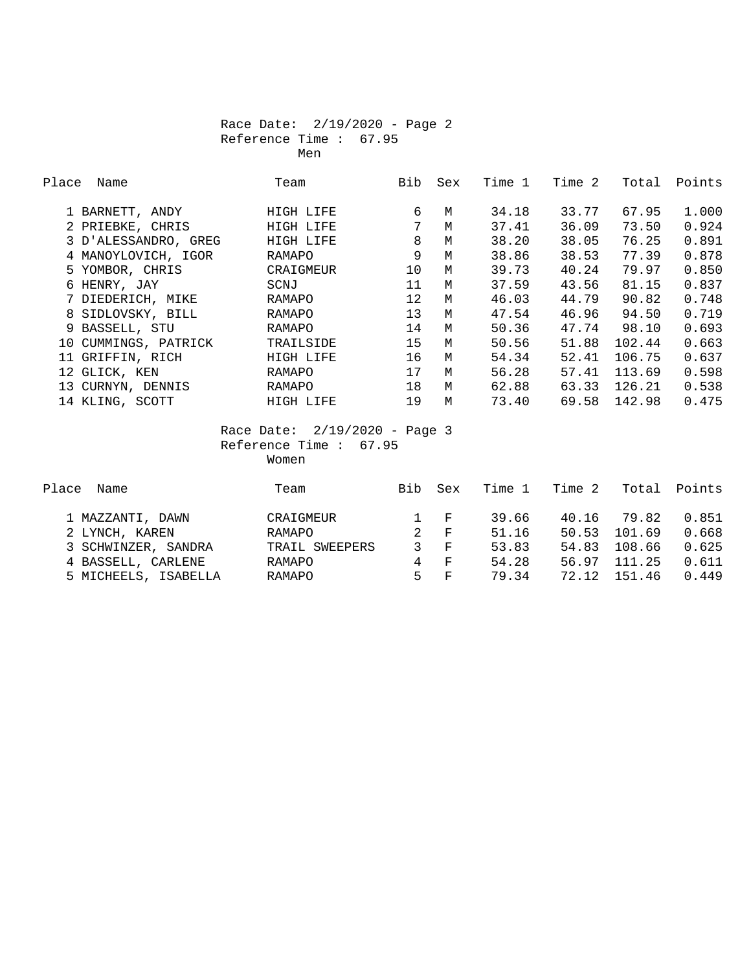#### Race Date: 2/19/2020 - Page 2 Reference Time : 67.95 Men

| Place | Name                 | Team                                                                  | Bib               | Sex | Time 1 | Time 2 | Total  | Points |
|-------|----------------------|-----------------------------------------------------------------------|-------------------|-----|--------|--------|--------|--------|
|       | 1 BARNETT, ANDY      | HIGH LIFE                                                             | 6                 | M   | 34.18  | 33.77  | 67.95  | 1.000  |
|       | 2 PRIEBKE, CHRIS     | HIGH LIFE                                                             | 7                 | M   | 37.41  | 36.09  | 73.50  | 0.924  |
|       | 3 D'ALESSANDRO, GREG | HIGH LIFE                                                             | 8                 | M   | 38.20  | 38.05  | 76.25  | 0.891  |
|       | 4 MANOYLOVICH, IGOR  | RAMAPO                                                                | 9                 | M   | 38.86  | 38.53  | 77.39  | 0.878  |
|       | 5 YOMBOR, CHRIS      | CRAIGMEUR                                                             | 10                | M   | 39.73  | 40.24  | 79.97  | 0.850  |
|       | 6 HENRY, JAY         | SCNJ                                                                  | 11                | M   | 37.59  | 43.56  | 81.15  | 0.837  |
|       | 7 DIEDERICH, MIKE    | RAMAPO                                                                | $12 \overline{ }$ | M   | 46.03  | 44.79  | 90.82  | 0.748  |
|       | 8 SIDLOVSKY, BILL    | RAMAPO                                                                | 13                | M   | 47.54  | 46.96  | 94.50  | 0.719  |
|       | 9 BASSELL, STU       | RAMAPO                                                                | 14                | M   | 50.36  | 47.74  | 98.10  | 0.693  |
| 10    | CUMMINGS, PATRICK    | TRAILSIDE                                                             | 15                | M   | 50.56  | 51.88  | 102.44 | 0.663  |
| 11    | GRIFFIN, RICH        | HIGH LIFE                                                             | 16                | M   | 54.34  | 52.41  | 106.75 | 0.637  |
| 12    | GLICK, KEN           | RAMAPO                                                                | 17                | M   | 56.28  | 57.41  | 113.69 | 0.598  |
| 13    | CURNYN, DENNIS       | RAMAPO                                                                | 18                | M   | 62.88  | 63.33  | 126.21 | 0.538  |
|       | 14 KLING, SCOTT      | HIGH LIFE                                                             | 19                | M   | 73.40  | 69.58  | 142.98 | 0.475  |
|       |                      | Race Date: $2/19/2020 - Page 3$<br>Reference Time :<br>67.95<br>Women |                   |     |        |        |        |        |

| Place<br>Name        | Team           | <b>Bib</b>   | Sex            | Time 1 | Time 2 | Total  | Points |
|----------------------|----------------|--------------|----------------|--------|--------|--------|--------|
| 1 MAZZANTI, DAWN     | CRAIGMEUR      | $\mathbf{1}$ | $\mathbf{F}$   | 39.66  | 40.16  | 79.82  | 0.851  |
| 2 LYNCH, KAREN       | RAMAPO         | 2            | $\mathbf{F}$   | 51.16  | 50.53  | 101.69 | 0.668  |
| 3 SCHWINZER, SANDRA  | TRAIL SWEEPERS | 3            | - F            | 53.83  | 54.83  | 108.66 | 0.625  |
| 4 BASSELL, CARLENE   | RAMAPO         | 4            | $\overline{F}$ | 54.28  | 56.97  | 111.25 | 0.611  |
| 5 MICHEELS, ISABELLA | RAMAPO         | 5.           | $\mathbf{F}$   | 79.34  | 72.12  | 151.46 | 0.449  |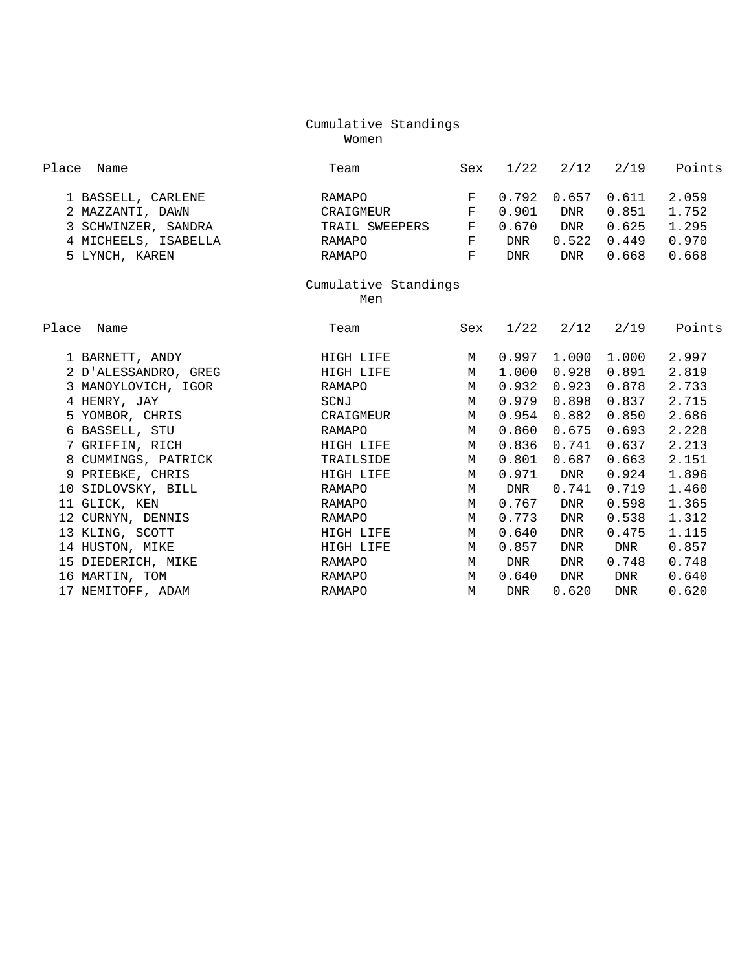#### Cumulative Standings Women

| Place | Name                 | Team                 | Sex          | 1/22  |           | $2/12$ $2/19$        | Points |
|-------|----------------------|----------------------|--------------|-------|-----------|----------------------|--------|
|       | 1 BASSELL, CARLENE   | RAMAPO               | F            | 0.792 | 0.657     | 0.611                | 2.059  |
|       | 2 MAZZANTI, DAWN     | CRAIGMEUR            | F            | 0.901 | DNR       | 0.851                | 1.752  |
|       | 3 SCHWINZER, SANDRA  | TRAIL SWEEPERS       | $\mathbf{F}$ | 0.670 | DNR       | 0.625                | 1.295  |
|       | 4 MICHEELS, ISABELLA | RAMAPO               | F            | DNR   |           | $0.522 \quad 0.449$  | 0.970  |
|       | 5 LYNCH, KAREN       | RAMAPO               | F            | DNR   | DNR       | 0.668                | 0.668  |
|       |                      | Cumulative Standings |              |       |           |                      |        |
|       |                      | Men                  |              |       |           |                      |        |
|       |                      |                      |              |       |           |                      |        |
| Place | Name                 | Team                 | Sex          |       |           | $1/22$ $2/12$ $2/19$ | Points |
|       | 1 BARNETT, ANDY      | HIGH LIFE            | M            | 0.997 | 1.000     | 1.000                | 2.997  |
|       | 2 D'ALESSANDRO, GREG | HIGH LIFE            | M            | 1.000 | 0.928     | 0.891                | 2.819  |
|       | 3 MANOYLOVICH, IGOR  | RAMAPO               | M            | 0.932 | 0.923     | 0.878                | 2.733  |
|       | 4 HENRY, JAY         | SCNJ                 | M            | 0.979 | 0.898     | 0.837                | 2.715  |
|       | 5 YOMBOR, CHRIS      | CRAIGMEUR            | M            | 0.954 | 0.882     | 0.850                | 2.686  |
|       | 6 BASSELL, STU       | RAMAPO               | M            | 0.860 | 0.675     | 0.693                | 2.228  |
|       | 7 GRIFFIN, RICH      | HIGH LIFE            | M            | 0.836 | 0.741     | 0.637                | 2.213  |
|       | 8 CUMMINGS, PATRICK  | TRAILSIDE            | M            | 0.801 | 0.687     | 0.663                | 2.151  |
|       | 9 PRIEBKE, CHRIS     | HIGH LIFE            | M            |       | 0.971 DNR | 0.924                | 1.896  |
|       | 10 SIDLOVSKY, BILL   | RAMAPO               | M            | DNR   | 0.741     | 0.719                | 1.460  |
|       | 11 GLICK, KEN        | RAMAPO               | M            | 0.767 | DNR       | 0.598                | 1.365  |
|       | 12 CURNYN, DENNIS    | RAMAPO               | M            | 0.773 | DNR       | 0.538                | 1.312  |
|       | 13 KLING, SCOTT      | HIGH LIFE            | M            | 0.640 | DNR       | 0.475                | 1.115  |
|       | 14 HUSTON, MIKE      | HIGH LIFE            | M            | 0.857 | DNR       | DNR                  | 0.857  |
|       | 15 DIEDERICH, MIKE   | RAMAPO               | M            | DNR   | DNR       | 0.748                | 0.748  |
|       | 16 MARTIN, TOM       | RAMAPO               | M            | 0.640 | DNR       | DNR                  | 0.640  |
|       | 17 NEMITOFF, ADAM    | RAMAPO               | M            | DNR   | 0.620     | <b>DNR</b>           | 0.620  |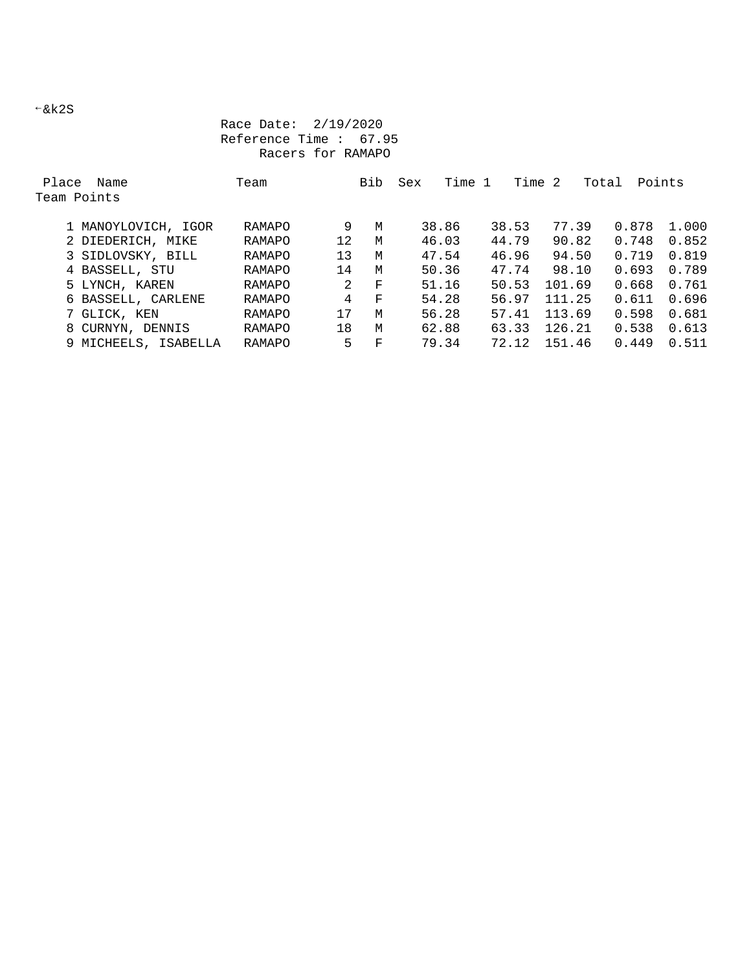$-kk2S$ 

## Race Date: 2/19/2020 Reference Time : 67.95 Racers for RAMAPO

| Place | Name                 | Team   |    | Bib | Sex   | Time 1 |       | Time  | -2     | Total | Points |       |
|-------|----------------------|--------|----|-----|-------|--------|-------|-------|--------|-------|--------|-------|
|       | Team Points          |        |    |     |       |        |       |       |        |       |        |       |
|       | 1 MANOYLOVICH, IGOR  | RAMAPO | 9  | M   |       | 38.86  | 38.53 |       | 77.39  |       | 0.878  | 1.000 |
|       |                      | RAMAPO | 12 | M   |       | 46.03  | 44.79 |       | 90.82  |       | 0.748  | 0.852 |
|       | 2 DIEDERICH, MIKE    |        |    |     |       |        |       |       |        |       |        |       |
|       | 3 SIDLOVSKY, BILL    | RAMAPO | 13 | M   |       | 47.54  |       | 46.96 | 94.50  |       | 0.719  | 0.819 |
|       | 4 BASSELL, STU       | RAMAPO | 14 | M   |       | 50.36  | 47.74 |       | 98.10  |       | 0.693  | 0.789 |
|       | 5 LYNCH, KAREN       | RAMAPO | 2  | F   |       | 51.16  | 50.53 |       | 101.69 |       | 0.668  | 0.761 |
|       | 6 BASSELL, CARLENE   | RAMAPO | 4  | F   | 54.28 |        | 56.97 |       | 111.25 |       | 0.611  | 0.696 |
|       | 7 GLICK, KEN         | RAMAPO | 17 | M   | 56.28 |        | 57.41 |       | 113.69 |       | 0.598  | 0.681 |
|       | 8 CURNYN, DENNIS     | RAMAPO | 18 | M   |       | 62.88  | 63.33 |       | 126.21 |       | 0.538  | 0.613 |
|       | 9 MICHEELS, ISABELLA | RAMAPO | 5  | F   | 79.34 |        | 72.12 |       | 151.46 |       | 0.449  | 0.511 |
|       |                      |        |    |     |       |        |       |       |        |       |        |       |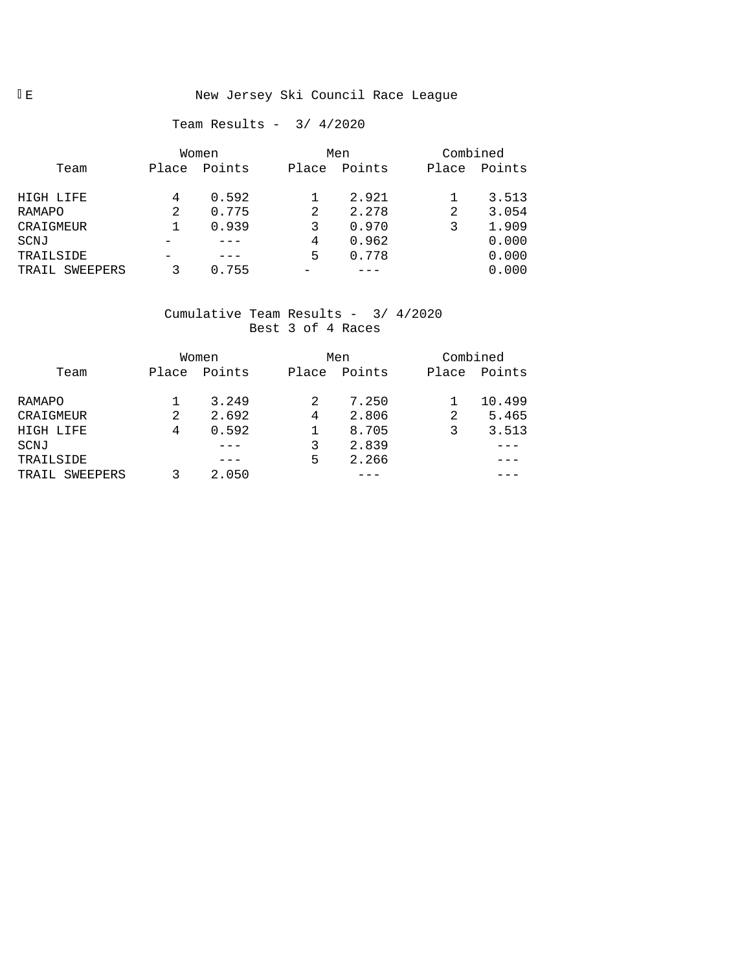## IE New Jersey Ski Council Race League

## Team Results - 3/ 4/2020

|                   |       | Women  |       | Men    | Combined |        |  |
|-------------------|-------|--------|-------|--------|----------|--------|--|
| Team              | Place | Points | Place | Points | Place    | Points |  |
| HIGH LIFE         | 4     | 0.592  |       | 2.921  |          | 3.513  |  |
| RAMAPO            | 2     | 0.775  | 2     | 2.278  | 2        | 3.054  |  |
| CRAIGMEUR         |       | 0.939  |       | 0.970  |          | 1.909  |  |
| SCNJ              |       |        | 4     | 0.962  |          | 0.000  |  |
| TRAILSIDE         |       |        | 5     | 0.778  |          | 0.000  |  |
| SWEEPERS<br>TRAIL |       | 0.755  |       |        |          | 0.000  |  |

## Cumulative Team Results - 3/ 4/2020 Best 3 of 4 Races

|                   |       | Women  |       | Men    | Combined |        |
|-------------------|-------|--------|-------|--------|----------|--------|
| Team              | Place | Points | Place | Points | Place    | Points |
| RAMAPO            |       | 3.249  | 2     | 7.250  |          | 10.499 |
| CRAIGMEUR         | 2     | 2.692  | 4     | 2.806  | 2        | 5.465  |
| HIGH LIFE         | 4     | 0.592  |       | 8.705  | 3        | 3.513  |
| SCNJ              |       |        | 3     | 2.839  |          |        |
| TRAILSIDE         |       |        | 5     | 2.266  |          |        |
| SWEEPERS<br>TRAIL |       | 2.050  |       |        |          |        |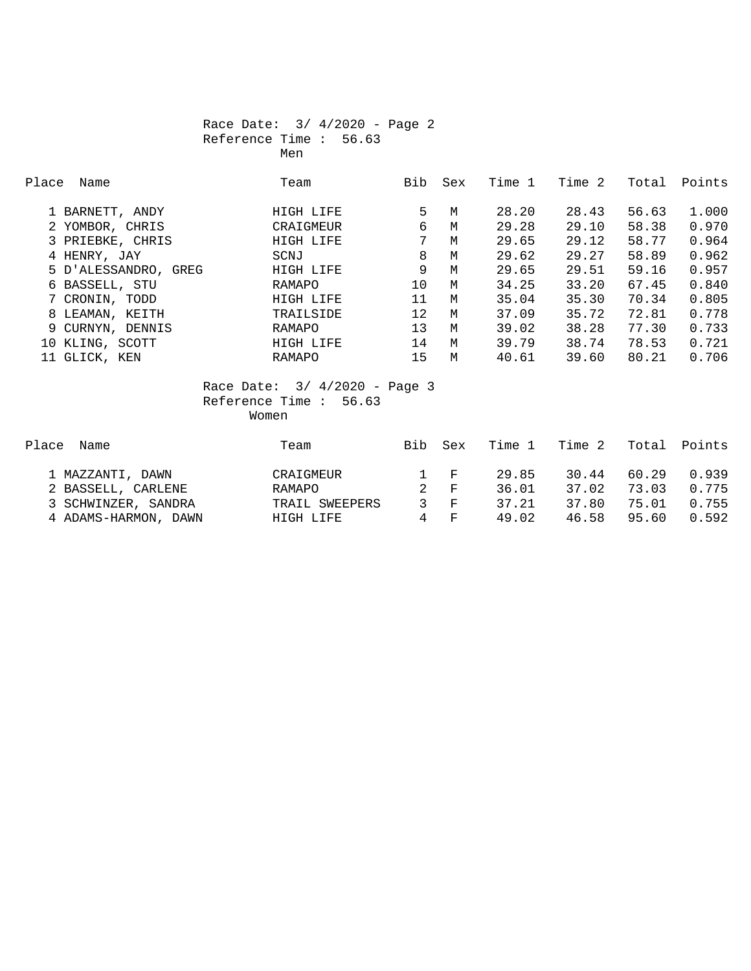### Race Date: 3/ 4/2020 - Page 2 Reference Time : 56.63 Men

| Place | Name                 | Team      | Bib | Sex | Time 1 | Time 2 | Total | Points |
|-------|----------------------|-----------|-----|-----|--------|--------|-------|--------|
|       |                      |           |     |     |        |        |       |        |
|       | 1 BARNETT, ANDY      | HIGH LIFE | 5.  | M   | 28.20  | 28.43  | 56.63 | 1,000  |
|       | 2 YOMBOR, CHRIS      | CRAIGMEUR | 6   | M   | 29.28  | 29.10  | 58.38 | 0.970  |
|       | 3 PRIEBKE, CHRIS     | HIGH LIFE | 7   | M   | 29.65  | 29.12  | 58.77 | 0.964  |
|       | 4 HENRY, JAY         | SCNJ      | 8   | M   | 29.62  | 29.27  | 58.89 | 0.962  |
|       | 5 D'ALESSANDRO, GREG | HIGH LIFE | 9   | M   | 29.65  | 29.51  | 59.16 | 0.957  |
|       | 6 BASSELL, STU       | RAMAPO    | 10  | M   | 34.25  | 33.20  | 67.45 | 0.840  |
|       | 7 CRONIN, TODD       | HIGH LIFE | 11  | M   | 35.04  | 35.30  | 70.34 | 0.805  |
|       | 8 LEAMAN, KEITH      | TRAILSIDE | 12  | M   | 37.09  | 35.72  | 72.81 | 0.778  |
|       | 9 CURNYN, DENNIS     | RAMAPO    | 13  | M   | 39.02  | 38.28  | 77.30 | 0.733  |
|       | 10 KLING, SCOTT      | HIGH LIFE | 14  | M   | 39.79  | 38.74  | 78.53 | 0.721  |
|       | 11 GLICK, KEN        | RAMAPO    | 15  | M   | 40.61  | 39.60  | 80.21 | 0.706  |

### Race Date: 3/ 4/2020 - Page 3 Reference Time : 56.63 Women

| Place<br>Name        | Team           | <b>Bib</b> | Sex             | Time 1 | Time 2 | Total | Points |
|----------------------|----------------|------------|-----------------|--------|--------|-------|--------|
| 1 MAZZANTI, DAWN     | CRAIGMEUR      |            | $1 \quad F$     | 29.85  | 30.44  | 60.29 | 0.939  |
| 2 BASSELL, CARLENE   | RAMAPO         |            | $2$ F           | 36.01  | 37.02  | 73.03 | 0.775  |
| 3 SCHWINZER, SANDRA  | TRAIL SWEEPERS |            | $\mathcal{S}$ F | 37.21  | 37.80  | 75.01 | 0.755  |
| 4 ADAMS-HARMON, DAWN | HIGH LIFE      | 4          | $\mathbf{F}$    | 49.02  | 46.58  | 95.60 | 0.592  |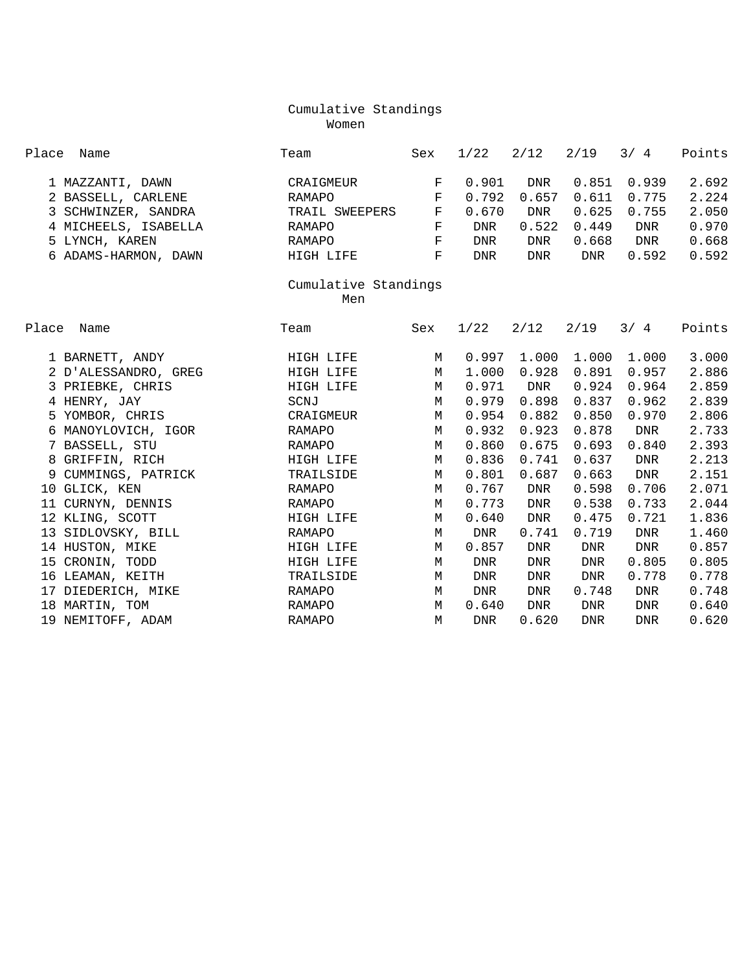## Cumulative Standings Women

| Place<br>Name        | Team                |             | 1/22       | 2/12  | 2/19       | 3/4        | Points |  |  |  |
|----------------------|---------------------|-------------|------------|-------|------------|------------|--------|--|--|--|
| 1 MAZZANTI, DAWN     | CRAIGMEUR           | $_{\rm F}$  | 0.901      | DNR   | 0.851      | 0.939      | 2.692  |  |  |  |
| 2 BASSELL, CARLENE   | RAMAPO              | $_{\rm F}$  | 0.792      | 0.657 | 0.611      | 0.775      | 2.224  |  |  |  |
| 3 SCHWINZER, SANDRA  | TRAIL SWEEPERS      | $\mathbf F$ | 0.670      | DNR   | 0.625      | 0.755      | 2.050  |  |  |  |
| 4 MICHEELS, ISABELLA | RAMAPO              | $\mathbf F$ | DNR        | 0.522 | 0.449      | DNR        | 0.970  |  |  |  |
|                      |                     | $\mathbf F$ | <b>DNR</b> |       |            | DNR        | 0.668  |  |  |  |
| 5 LYNCH, KAREN       | RAMAPO<br>HIGH LIFE | $\mathbf F$ |            | DNR   | 0.668      |            |        |  |  |  |
| 6 ADAMS-HARMON, DAWN |                     | <b>DNR</b>  | DNR        | DNR   | 0.592      | 0.592      |        |  |  |  |
| Cumulative Standings |                     |             |            |       |            |            |        |  |  |  |
| Men                  |                     |             |            |       |            |            |        |  |  |  |
| Place<br>Name        | Team                | Sex         | 1/22       | 2/12  | 2/19       | 3/4        | Points |  |  |  |
|                      |                     |             |            |       |            |            |        |  |  |  |
| 1 BARNETT, ANDY      | HIGH LIFE           | M           | 0.997      | 1.000 | 1.000      | 1.000      | 3.000  |  |  |  |
| 2 D'ALESSANDRO, GREG | HIGH LIFE           | M           | 1.000      | 0.928 | 0.891      | 0.957      | 2.886  |  |  |  |
| 3 PRIEBKE, CHRIS     | HIGH LIFE           | M           | 0.971      | DNR   | 0.924      | 0.964      | 2.859  |  |  |  |
| 4 HENRY, JAY         | SCNJ                | M           | 0.979      | 0.898 | 0.837      | 0.962      | 2.839  |  |  |  |
| 5 YOMBOR, CHRIS      | CRAIGMEUR           | M           | 0.954      | 0.882 | 0.850      | 0.970      | 2.806  |  |  |  |
| 6 MANOYLOVICH, IGOR  | RAMAPO              | M           | 0.932      | 0.923 | 0.878      | DNR        | 2.733  |  |  |  |
| 7 BASSELL, STU       | RAMAPO              | M           | 0.860      | 0.675 | 0.693      | 0.840      | 2.393  |  |  |  |
| 8 GRIFFIN, RICH      | HIGH LIFE           | $M_{\odot}$ | 0.836      | 0.741 | 0.637      | <b>DNR</b> | 2.213  |  |  |  |
| 9 CUMMINGS, PATRICK  | TRAILSIDE           | M           | 0.801      | 0.687 | 0.663      | DNR        | 2.151  |  |  |  |
| 10 GLICK, KEN        | RAMAPO              | M           | 0.767      | DNR   | 0.598      | 0.706      | 2.071  |  |  |  |
| 11 CURNYN, DENNIS    | RAMAPO              | M           | 0.773      | DNR   | 0.538      | 0.733      | 2.044  |  |  |  |
| 12 KLING, SCOTT      | HIGH LIFE           | M           | 0.640      | DNR   | 0.475      | 0.721      | 1.836  |  |  |  |
| 13 SIDLOVSKY, BILL   | <b>RAMAPO</b>       | M           | <b>DNR</b> | 0.741 | 0.719      | <b>DNR</b> | 1.460  |  |  |  |
| 14 HUSTON, MIKE      | HIGH LIFE           | M           | 0.857      | DNR   | DNR        | <b>DNR</b> | 0.857  |  |  |  |
| 15 CRONIN, TODD      | HIGH LIFE           | M           | DNR        | DNR   | <b>DNR</b> | 0.805      | 0.805  |  |  |  |
| 16 LEAMAN, KEITH     | TRAILSIDE           | M           | <b>DNR</b> | DNR   | <b>DNR</b> | 0.778      | 0.778  |  |  |  |
| 17 DIEDERICH, MIKE   | RAMAPO              | M           | DNR        | DNR   | 0.748      | DNR        | 0.748  |  |  |  |
| 18 MARTIN, TOM       | RAMAPO              | M           | 0.640      | DNR   | DNR        | <b>DNR</b> | 0.640  |  |  |  |
| 19 NEMITOFF, ADAM    | <b>RAMAPO</b>       | M           | <b>DNR</b> | 0.620 | <b>DNR</b> | <b>DNR</b> | 0.620  |  |  |  |